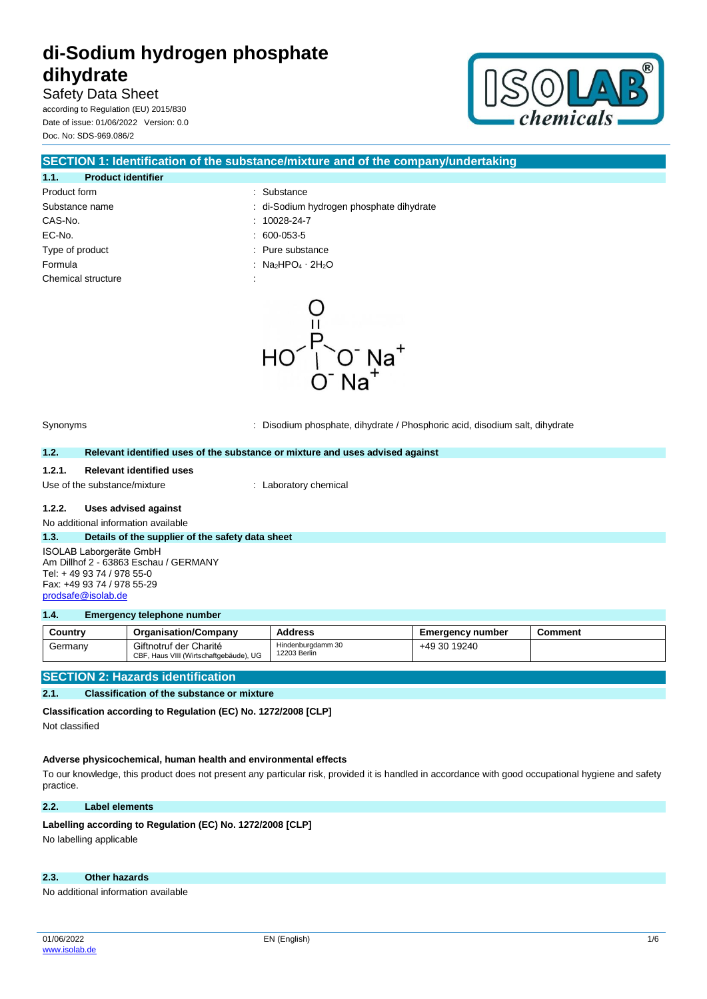Safety Data Sheet according to Regulation (EU) 2015/830 Date of issue: 01/06/2022 Version: 0.0 Doc. No: SDS-969.086/2



|                                   | <b>SECTION 1: Identification of the substance/mixture and of the company/undertaking</b> |
|-----------------------------------|------------------------------------------------------------------------------------------|
| 1.1.<br><b>Product identifier</b> |                                                                                          |
| Product form                      | : Substance                                                                              |
| Substance name                    | : di-Sodium hydrogen phosphate dihydrate                                                 |
| CAS-No.                           | $: 10028-24-7$                                                                           |
| EC-No.                            | $.600-053-5$                                                                             |
| Type of product                   | : Pure substance                                                                         |
| Formula                           | : $Na2HPO4 \cdot 2H2O$                                                                   |
| Chemical structure                |                                                                                          |
|                                   |                                                                                          |



Synonyms : Disodium phosphate, dihydrate / Phosphoric acid, disodium salt, dihydrate

#### **1.2. Relevant identified uses of the substance or mixture and uses advised against**

#### **1.2.1. Relevant identified uses**

Use of the substance/mixture : Laboratory chemical

#### **1.2.2. Uses advised against**

No additional information available

#### **1.3. Details of the supplier of the safety data sheet** ISOLAB Laborgeräte GmbH Am Dillhof 2 - 63863 Eschau / GERMANY Tel: + 49 93 74 / 978 55-0 Fax: +49 93 74 / 978 55-29 [prodsafe@isolab.de](mailto:prodsafe@isolab.de)

#### **1.4. Emergency telephone number**

| Country | <b>Organisation/Company</b>                                      | <b>Address</b>                    | Emergency number | Comment |
|---------|------------------------------------------------------------------|-----------------------------------|------------------|---------|
| Germany | Giftnotruf der Charité<br>CBF, Haus VIII (Wirtschaftgebäude), UG | Hindenburgdamm 30<br>12203 Berlin | +49 30 19240     |         |

### **SECTION 2: Hazards identification**

**2.1. Classification of the substance or mixture**

**Classification according to Regulation (EC) No. 1272/2008 [CLP]**

Not classified

### **Adverse physicochemical, human health and environmental effects**

To our knowledge, this product does not present any particular risk, provided it is handled in accordance with good occupational hygiene and safety practice.

### **2.2. Label elements**

#### Labelling according to Regulation (EC) No. 1272/2008 [CLP]

No labelling applicable

# **2.3. Other hazards**

No additional information available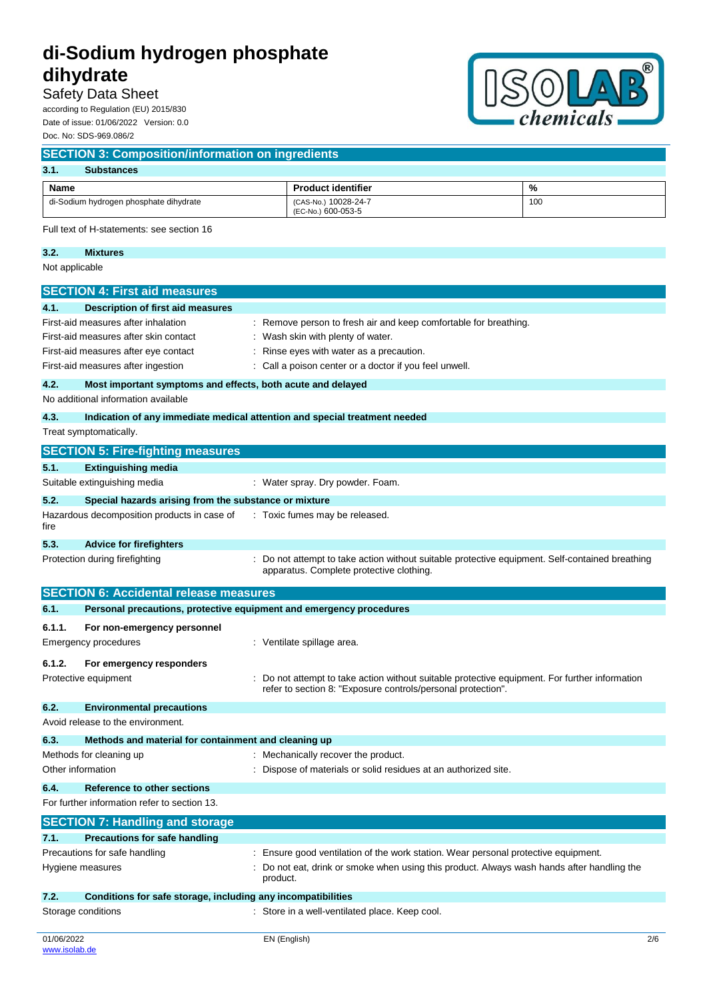# Safety Data Sheet

according to Regulation (EU) 2015/830 Date of issue: 01/06/2022 Version: 0.0 Doc. No: SDS-969.086/2



| 3.1.<br><b>Substances</b>              |                                            |     |  |
|----------------------------------------|--------------------------------------------|-----|--|
| Name                                   | <b>Product identifier</b>                  | %   |  |
| di-Sodium hydrogen phosphate dihydrate | (CAS-No.) 10028-24-7<br>(EC-No.) 600-053-5 | 100 |  |

# **3.2. Mixtures**

Not applicable

[www.isolab.de](http://www.isolab.de/)

|                   | <b>SECTION 4: First aid measures</b>                                                                                                                                                                   |                                                                                                                                                                                                     |     |
|-------------------|--------------------------------------------------------------------------------------------------------------------------------------------------------------------------------------------------------|-----------------------------------------------------------------------------------------------------------------------------------------------------------------------------------------------------|-----|
| 4.1.              | <b>Description of first aid measures</b><br>First-aid measures after inhalation<br>First-aid measures after skin contact<br>First-aid measures after eye contact<br>First-aid measures after ingestion | Remove person to fresh air and keep comfortable for breathing.<br>Wash skin with plenty of water.<br>Rinse eyes with water as a precaution.<br>Call a poison center or a doctor if you feel unwell. |     |
| 4.2.              | Most important symptoms and effects, both acute and delayed                                                                                                                                            |                                                                                                                                                                                                     |     |
|                   | No additional information available                                                                                                                                                                    |                                                                                                                                                                                                     |     |
| 4.3.              |                                                                                                                                                                                                        | Indication of any immediate medical attention and special treatment needed                                                                                                                          |     |
|                   | Treat symptomatically.                                                                                                                                                                                 |                                                                                                                                                                                                     |     |
|                   | <b>SECTION 5: Fire-fighting measures</b>                                                                                                                                                               |                                                                                                                                                                                                     |     |
| 5.1.              | Extinguishing media                                                                                                                                                                                    |                                                                                                                                                                                                     |     |
|                   | Suitable extinguishing media                                                                                                                                                                           | : Water spray. Dry powder. Foam.                                                                                                                                                                    |     |
| 5.2.              | Special hazards arising from the substance or mixture                                                                                                                                                  |                                                                                                                                                                                                     |     |
| fire              | Hazardous decomposition products in case of                                                                                                                                                            | : Toxic fumes may be released.                                                                                                                                                                      |     |
| 5.3.              | <b>Advice for firefighters</b>                                                                                                                                                                         |                                                                                                                                                                                                     |     |
|                   | Protection during firefighting                                                                                                                                                                         | Do not attempt to take action without suitable protective equipment. Self-contained breathing<br>apparatus. Complete protective clothing.                                                           |     |
|                   | <b>SECTION 6: Accidental release measures</b>                                                                                                                                                          |                                                                                                                                                                                                     |     |
| 6.1.              | Personal precautions, protective equipment and emergency procedures                                                                                                                                    |                                                                                                                                                                                                     |     |
| 6.1.1.            | For non-emergency personnel                                                                                                                                                                            |                                                                                                                                                                                                     |     |
|                   | Emergency procedures                                                                                                                                                                                   | : Ventilate spillage area.                                                                                                                                                                          |     |
| 6.1.2.            | For emergency responders                                                                                                                                                                               |                                                                                                                                                                                                     |     |
|                   | Protective equipment                                                                                                                                                                                   | Do not attempt to take action without suitable protective equipment. For further information<br>refer to section 8: "Exposure controls/personal protection".                                        |     |
| 6.2.              | <b>Environmental precautions</b>                                                                                                                                                                       |                                                                                                                                                                                                     |     |
|                   | Avoid release to the environment.                                                                                                                                                                      |                                                                                                                                                                                                     |     |
| 6.3.              | Methods and material for containment and cleaning up                                                                                                                                                   |                                                                                                                                                                                                     |     |
|                   | Methods for cleaning up                                                                                                                                                                                | Mechanically recover the product.                                                                                                                                                                   |     |
| Other information |                                                                                                                                                                                                        | Dispose of materials or solid residues at an authorized site.                                                                                                                                       |     |
| 6.4.              | Reference to other sections                                                                                                                                                                            |                                                                                                                                                                                                     |     |
|                   | For further information refer to section 13.                                                                                                                                                           |                                                                                                                                                                                                     |     |
|                   | <b>SECTION 7: Handling and storage</b>                                                                                                                                                                 |                                                                                                                                                                                                     |     |
| 7.1.              | <b>Precautions for safe handling</b>                                                                                                                                                                   |                                                                                                                                                                                                     |     |
|                   | Precautions for safe handling                                                                                                                                                                          | : Ensure good ventilation of the work station. Wear personal protective equipment.                                                                                                                  |     |
|                   | Hygiene measures                                                                                                                                                                                       | Do not eat, drink or smoke when using this product. Always wash hands after handling the<br>product.                                                                                                |     |
| 7.2.              | Conditions for safe storage, including any incompatibilities                                                                                                                                           |                                                                                                                                                                                                     |     |
|                   | Storage conditions                                                                                                                                                                                     | Store in a well-ventilated place. Keep cool.                                                                                                                                                        |     |
| 01/06/2022        |                                                                                                                                                                                                        | EN (English)                                                                                                                                                                                        | 2/6 |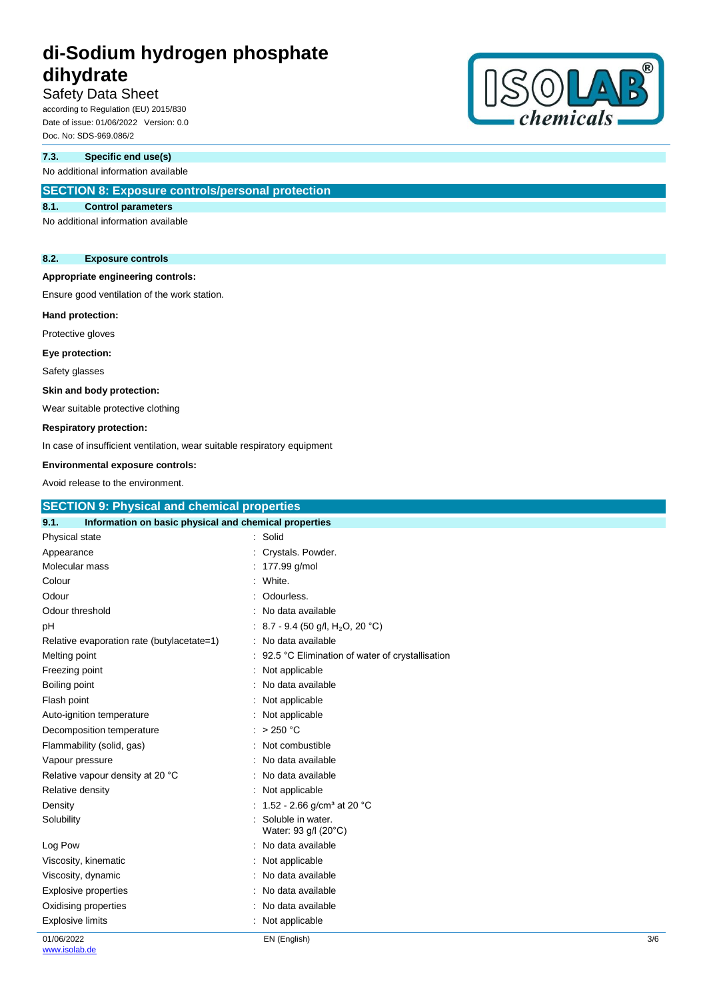# Safety Data Sheet

according to Regulation (EU) 2015/830 Date of issue: 01/06/2022 Version: 0.0 Doc. No: SDS-969.086/2

## **7.3. Specific end use(s)**

No additional information available

# **SECTION 8: Exposure controls/personal protection**

## **8.1. Control parameters**

No additional information available

#### **8.2. Exposure controls**

#### **Appropriate engineering controls:**

Ensure good ventilation of the work station.

#### **Hand protection:**

Protective gloves

#### **Eye protection:**

Safety glasses

### **Skin and body protection:**

Wear suitable protective clothing

#### **Respiratory protection:**

In case of insufficient ventilation, wear suitable respiratory equipment

# **Environmental exposure controls:**

| Life communication of the community of the control of the control of the control of the control of the control o |                                                   |
|------------------------------------------------------------------------------------------------------------------|---------------------------------------------------|
| Avoid release to the environment.                                                                                |                                                   |
| <b>SECTION 9: Physical and chemical properties</b>                                                               |                                                   |
| Information on basic physical and chemical properties<br>9.1.                                                    |                                                   |
| Physical state                                                                                                   | : Solid                                           |
| Appearance                                                                                                       | Crystals. Powder.                                 |
| Molecular mass                                                                                                   | : 177.99 g/mol                                    |
| Colour                                                                                                           | White.                                            |
| Odour                                                                                                            | Odourless.                                        |
| Odour threshold                                                                                                  | No data available                                 |
| pH                                                                                                               | : 8.7 - 9.4 (50 g/l, H <sub>2</sub> O, 20 °C)     |
| Relative evaporation rate (butylacetate=1)                                                                       | No data available                                 |
| Melting point                                                                                                    | : 92.5 °C Elimination of water of crystallisation |
| Freezing point                                                                                                   | Not applicable                                    |
| Boiling point                                                                                                    | No data available                                 |
| Flash point                                                                                                      | Not applicable                                    |
| Auto-ignition temperature                                                                                        | : Not applicable                                  |
| Decomposition temperature                                                                                        | : $>250 °C$                                       |
| Flammability (solid, gas)                                                                                        | : Not combustible                                 |
| Vapour pressure                                                                                                  | No data available                                 |
| Relative vapour density at 20 °C                                                                                 | No data available                                 |
| Relative density                                                                                                 | Not applicable                                    |
| Density                                                                                                          | : 1.52 - 2.66 g/cm <sup>3</sup> at 20 °C          |
| Solubility                                                                                                       | Soluble in water.<br>Water: 93 g/l (20°C)         |
| Log Pow                                                                                                          | : No data available                               |
| Viscosity, kinematic                                                                                             | Not applicable                                    |
| Viscosity, dynamic                                                                                               | No data available                                 |
| Explosive properties                                                                                             | : No data available                               |
| Oxidising properties                                                                                             | No data available                                 |

01/06/2022 Explosive limits **Explosive Limits Explosive Limits Explosive Limits Explosive Limits EXPLOSIVE 2018** 

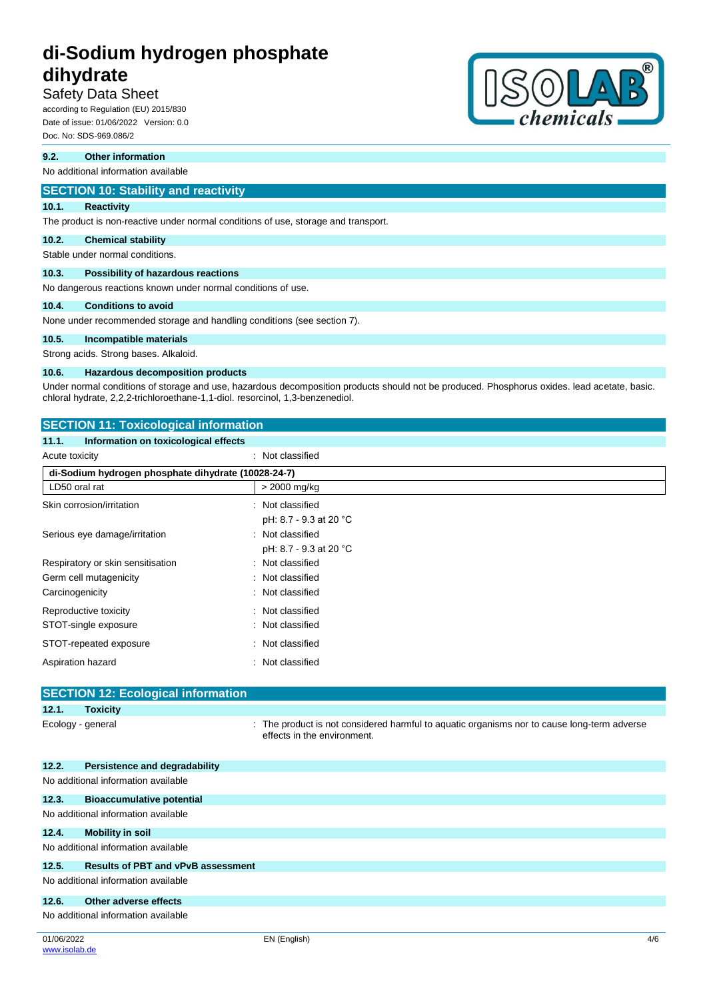# Safety Data Sheet

according to Regulation (EU) 2015/830 Date of issue: 01/06/2022 Version: 0.0 Doc. No: SDS-969.086/2

#### **9.2. Other information**

No additional information available

## **SECTION 10: Stability and reactivity**

#### **10.1. Reactivity**

The product is non-reactive under normal conditions of use, storage and transport.

#### **10.2. Chemical stability**

Stable under normal conditions.

### **10.3. Possibility of hazardous reactions**

No dangerous reactions known under normal conditions of use.

## **10.4. Conditions to avoid**

None under recommended storage and handling conditions (see section 7).

#### **10.5. Incompatible materials**

Strong acids. Strong bases. Alkaloid.

#### **10.6. Hazardous decomposition products**

Under normal conditions of storage and use, hazardous decomposition products should not be produced. Phosphorus oxides. lead acetate, basic. chloral hydrate, 2,2,2-trichloroethane-1,1-diol. resorcinol, 1,3-benzenediol.

| <b>SECTION 11: Toxicological information</b>        |                        |  |
|-----------------------------------------------------|------------------------|--|
| Information on toxicological effects<br>11.1.       |                        |  |
| Acute toxicity                                      | : Not classified       |  |
| di-Sodium hydrogen phosphate dihydrate (10028-24-7) |                        |  |
| LD50 oral rat                                       | > 2000 mg/kg           |  |
| Skin corrosion/irritation                           | : Not classified       |  |
|                                                     | pH: 8.7 - 9.3 at 20 °C |  |
| Serious eye damage/irritation                       | : Not classified       |  |
|                                                     | pH: 8.7 - 9.3 at 20 °C |  |
| Respiratory or skin sensitisation                   | : Not classified       |  |
| Germ cell mutagenicity                              | : Not classified       |  |
| Carcinogenicity                                     | : Not classified       |  |
| Reproductive toxicity                               | : Not classified       |  |
| STOT-single exposure                                | : Not classified       |  |
| STOT-repeated exposure                              | : Not classified       |  |
| Aspiration hazard                                   | : Not classified       |  |
|                                                     |                        |  |

# **SECTION 12: Ecological information 12.1. Toxicity** Ecology - general **interproduct is not considered harmful to aquatic organisms nor to cause long-term adverse** effects in the environment. **12.2. Persistence and degradability** No additional information available **12.3. Bioaccumulative potential** No additional information available **12.4. Mobility in soil** No additional information available **12.5. Results of PBT and vPvB assessment** No additional information available **12.6. Other adverse effects** No additional information available

01/06/2022 [www.isolab.de](http://www.isolab.de/)

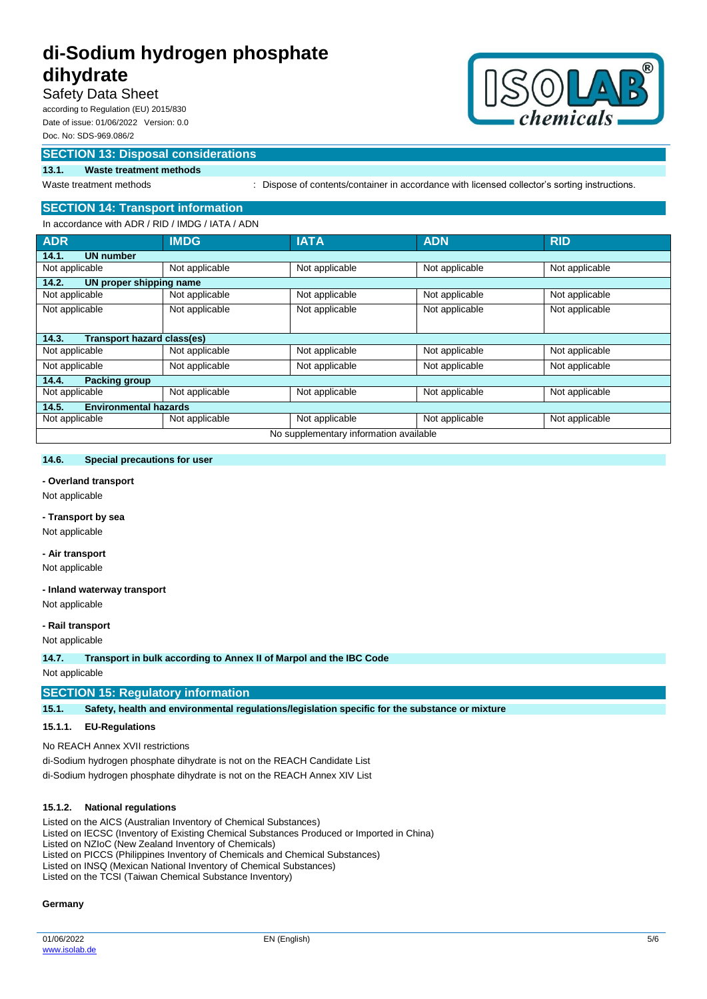# Safety Data Sheet

according to Regulation (EU) 2015/830 Date of issue: 01/06/2022 Version: 0.0 Doc. No: SDS-969.086/2

# **SECTION 13: Disposal considerations**



# **13.1. Waste treatment methods**

Waste treatment methods : Dispose of contents/container in accordance with licensed collector's sorting instructions.

## **SECTION 14: Transport information**

| In accordance with ADR / RID / IMDG / IATA / ADN |                |                |                |                |
|--------------------------------------------------|----------------|----------------|----------------|----------------|
| <b>ADR</b>                                       | <b>IMDG</b>    | <b>IATA</b>    | <b>ADN</b>     | <b>RID</b>     |
| 14.1.<br><b>UN number</b>                        |                |                |                |                |
| Not applicable                                   | Not applicable | Not applicable | Not applicable | Not applicable |
| 14.2.<br>UN proper shipping name                 |                |                |                |                |
| Not applicable                                   | Not applicable | Not applicable | Not applicable | Not applicable |
| Not applicable                                   | Not applicable | Not applicable | Not applicable | Not applicable |
|                                                  |                |                |                |                |
| Transport hazard class(es)<br>14.3.              |                |                |                |                |
| Not applicable                                   | Not applicable | Not applicable | Not applicable | Not applicable |
| Not applicable                                   | Not applicable | Not applicable | Not applicable | Not applicable |
| 14.4.<br><b>Packing group</b>                    |                |                |                |                |
| Not applicable                                   | Not applicable | Not applicable | Not applicable | Not applicable |
| <b>Environmental hazards</b><br>14.5.            |                |                |                |                |
| Not applicable                                   | Not applicable | Not applicable | Not applicable | Not applicable |
| No supplementary information available           |                |                |                |                |

#### **14.6. Special precautions for user**

#### **- Overland transport**

Not applicable

## **- Transport by sea**

Not applicable

## **- Air transport**

Not applicable

#### **- Inland waterway transport**

Not applicable

#### **- Rail transport**

Not applicable

**14.7. Transport in bulk according to Annex II of Marpol and the IBC Code**

Not applicable

## **SECTION 15: Regulatory information**

**15.1. Safety, health and environmental regulations/legislation specific for the substance or mixture**

#### **15.1.1. EU-Regulations**

No REACH Annex XVII restrictions

di-Sodium hydrogen phosphate dihydrate is not on the REACH Candidate List di-Sodium hydrogen phosphate dihydrate is not on the REACH Annex XIV List

#### **15.1.2. National regulations**

Listed on the AICS (Australian Inventory of Chemical Substances) Listed on IECSC (Inventory of Existing Chemical Substances Produced or Imported in China) Listed on NZIoC (New Zealand Inventory of Chemicals) Listed on PICCS (Philippines Inventory of Chemicals and Chemical Substances) Listed on INSQ (Mexican National Inventory of Chemical Substances)

Listed on the TCSI (Taiwan Chemical Substance Inventory)

#### **Germany**